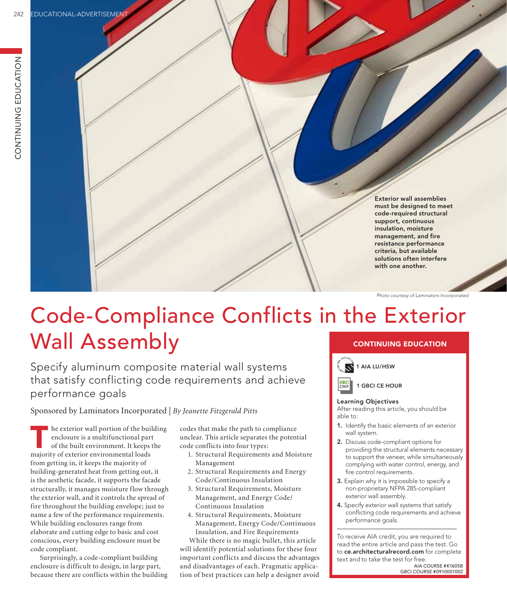Exterior wall assemblies must be designed to meet code-required structural support, continuous insulation, moisture management, and fire resistance performance criteria, but available solutions often interfere with one another.

*Photo courtesy of Laminators Incorporated* 

# Code-Compliance Conflicts in the Exterior Wall Assembly CONTINUING EDUCATION

Specify aluminum composite material wall systems that satisfy conflicting code requirements and achieve performance goals

Sponsored by Laminators Incorporated | *By Jeanette Fitzgerald Pitts*

he exterior wall portion of the building enclosure is a multifunctional part of the built environment. It keeps the majority of exterior environmental loads from getting in, it keeps the majority of building-generated heat from getting out, it is the aesthetic facade, it supports the facade structurally, it manages moisture flow through the exterior wall, and it controls the spread of fire throughout the building envelope; just to name a few of the performance requirements. While building enclosures range from elaborate and cutting edge to basic and cost conscious, every building enclosure must be code compliant.

Surprisingly, a code-compliant building enclosure is difficult to design, in large part, because there are conflicts within the building

codes that make the path to compliance unclear. This article separates the potential code conflicts into four types:

- 1. Structural Requirements and Moisture Management
- 2. Structural Requirements and Energy Code/Continuous Insulation
- 3. Structural Requirements, Moisture Management, and Energy Code/ Continuous Insulation
- 4. Structural Requirements, Moisture Management, Energy Code/Continuous Insulation, and Fire Requirements

While there is no magic bullet, this article will identify potential solutions for these four important conflicts and discuss the advantages and disadvantages of each. Pragmatic application of best practices can help a designer avoid



**GBCI**<br>CMP



### Learning Objectives

After reading this article, you should be able to:

- 1. Identify the basic elements of an exterior wall system.
- 2. Discuss code-compliant options for providing the structural elements necessary to support the veneer, while simultaneously complying with water control, energy, and fire control requirements.
- 3. Explain why it is impossible to specify a non-proprietary NFPA 285-compliant exterior wall assembly.
- 4. Specify exterior wall systems that satisfy conflicting code requirements and achieve performance goals.

To receive AIA credit, you are required to read the entire article and pass the test. Go to ce.architecturalrecord.com for complete text and to take the test for free.

AIA COURSE #K1605B GBCI COURSE #0910001002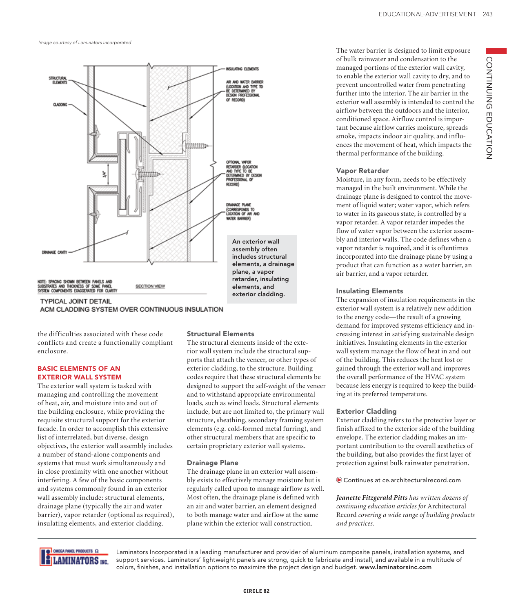*Image courtesy of Laminators Incorporated* 



ACM CLADDING SYSTEM OVER CONTINUOUS INSULATION

the difficulties associated with these code conflicts and create a functionally compliant enclosure.

### BASIC ELEMENTS OF AN EXTERIOR WALL SYSTEM

The exterior wall system is tasked with managing and controlling the movement of heat, air, and moisture into and out of the building enclosure, while providing the requisite structural support for the exterior facade. In order to accomplish this extensive list of interrelated, but diverse, design objectives, the exterior wall assembly includes a number of stand-alone components and systems that must work simultaneously and in close proximity with one another without interfering. A few of the basic components and systems commonly found in an exterior wall assembly include: structural elements, drainage plane (typically the air and water barrier), vapor retarder (optional as required), insulating elements, and exterior cladding.

### Structural Elements

The structural elements inside of the exterior wall system include the structural supports that attach the veneer, or other types of exterior cladding, to the structure. Building codes require that these structural elements be designed to support the self-weight of the veneer and to withstand appropriate environmental loads, such as wind loads. Structural elements include, but are not limited to, the primary wall structure, sheathing, secondary framing system elements (e.g. cold-formed metal furring), and other structural members that are specific to certain proprietary exterior wall systems.

### Drainage Plane

The drainage plane in an exterior wall assembly exists to effectively manage moisture but is regularly called upon to manage airflow as well. Most often, the drainage plane is defined with an air and water barrier, an element designed to both manage water and airflow at the same plane within the exterior wall construction.

The water barrier is designed to limit exposure of bulk rainwater and condensation to the managed portions of the exterior wall cavity, to enable the exterior wall cavity to dry, and to prevent uncontrolled water from penetrating further into the interior. The air barrier in the exterior wall assembly is intended to control the airflow between the outdoors and the interior, conditioned space. Airflow control is important because airflow carries moisture, spreads smoke, impacts indoor air quality, and influences the movement of heat, which impacts the thermal performance of the building.

### Vapor Retarder

Moisture, in any form, needs to be effectively managed in the built environment. While the drainage plane is designed to control the movement of liquid water; water vapor, which refers to water in its gaseous state, is controlled by a vapor retarder. A vapor retarder impedes the flow of water vapor between the exterior assembly and interior walls. The code defines when a vapor retarder is required, and it is oftentimes incorporated into the drainage plane by using a product that can function as a water barrier, an air barrier, and a vapor retarder.

### Insulating Elements

The expansion of insulation requirements in the exterior wall system is a relatively new addition to the energy code—the result of a growing demand for improved systems efficiency and increasing interest in satisfying sustainable design initiatives. Insulating elements in the exterior wall system manage the flow of heat in and out of the building. This reduces the heat lost or gained through the exterior wall and improves the overall performance of the HVAC system because less energy is required to keep the building at its preferred temperature.

### Exterior Cladding

Exterior cladding refers to the protective layer or finish affixed to the exterior side of the building envelope. The exterior cladding makes an important contribution to the overall aesthetics of the building, but also provides the first layer of protection against bulk rainwater penetration.

Continues at ce.architecturalrecord.com

*Jeanette Fitzgerald Pitts has written dozens of continuing education articles for* Architectural Record *covering a wide range of building products and practices.*



Laminators Incorporated is a leading manufacturer and provider of aluminum composite panels, installation systems, and support services. Laminators' lightweight panels are strong, quick to fabricate and install, and available in a multitude of colors, finishes, and installation options to maximize the project design and budget. www.laminatorsinc.com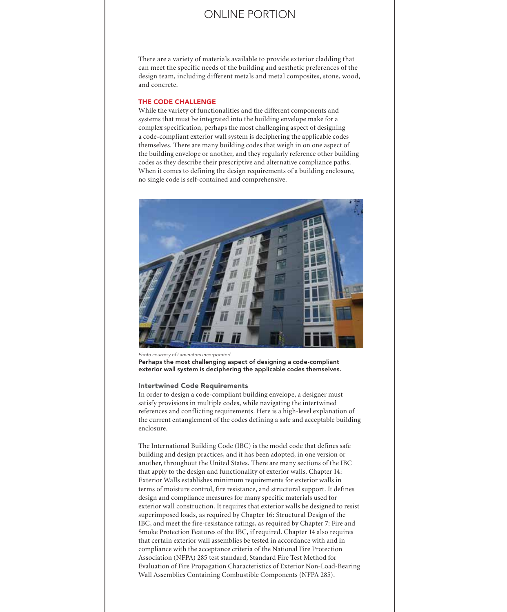There are a variety of materials available to provide exterior cladding that can meet the specific needs of the building and aesthetic preferences of the design team, including different metals and metal composites, stone, wood, and concrete.

#### THE CODE CHALLENGE

While the variety of functionalities and the different components and systems that must be integrated into the building envelope make for a complex specification, perhaps the most challenging aspect of designing a code-compliant exterior wall system is deciphering the applicable codes themselves. There are many building codes that weigh in on one aspect of the building envelope or another, and they regularly reference other building codes as they describe their prescriptive and alternative compliance paths. When it comes to defining the design requirements of a building enclosure, no single code is self-contained and comprehensive.



*Photo courtesy of Laminators Incorporated*  Perhaps the most challenging aspect of designing a code-compliant exterior wall system is deciphering the applicable codes themselves.

#### Intertwined Code Requirements

In order to design a code-compliant building envelope, a designer must satisfy provisions in multiple codes, while navigating the intertwined references and conflicting requirements. Here is a high-level explanation of the current entanglement of the codes defining a safe and acceptable building enclosure.

The International Building Code (IBC) is the model code that defines safe building and design practices, and it has been adopted, in one version or another, throughout the United States. There are many sections of the IBC that apply to the design and functionality of exterior walls. Chapter 14: Exterior Walls establishes minimum requirements for exterior walls in terms of moisture control, fire resistance, and structural support. It defines design and compliance measures for many specific materials used for exterior wall construction. It requires that exterior walls be designed to resist superimposed loads, as required by Chapter 16: Structural Design of the IBC, and meet the fire-resistance ratings, as required by Chapter 7: Fire and Smoke Protection Features of the IBC, if required. Chapter 14 also requires that certain exterior wall assemblies be tested in accordance with and in compliance with the acceptance criteria of the National Fire Protection Association (NFPA) 285 test standard, Standard Fire Test Method for Evaluation of Fire Propagation Characteristics of Exterior Non-Load-Bearing Wall Assemblies Containing Combustible Components (NFPA 285).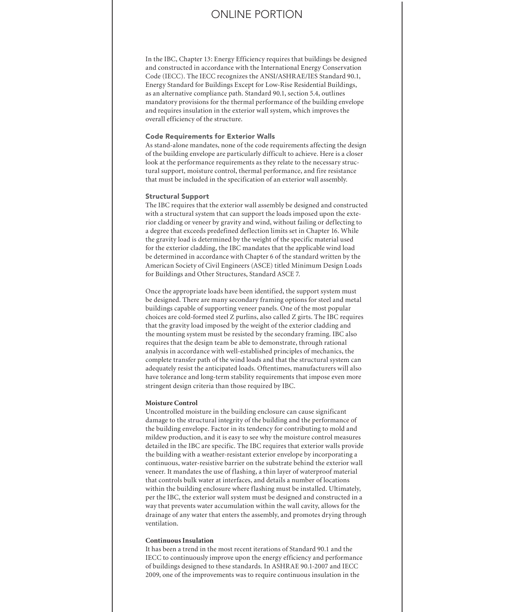In the IBC, Chapter 13: Energy Efficiency requires that buildings be designed and constructed in accordance with the International Energy Conservation Code (IECC). The IECC recognizes the ANSI/ASHRAE/IES Standard 90.1, Energy Standard for Buildings Except for Low-Rise Residential Buildings, as an alternative compliance path. Standard 90.1, section 5.4, outlines mandatory provisions for the thermal performance of the building envelope and requires insulation in the exterior wall system, which improves the overall efficiency of the structure.

### Code Requirements for Exterior Walls

As stand-alone mandates, none of the code requirements affecting the design of the building envelope are particularly difficult to achieve. Here is a closer look at the performance requirements as they relate to the necessary structural support, moisture control, thermal performance, and fire resistance that must be included in the specification of an exterior wall assembly.

### Structural Support

The IBC requires that the exterior wall assembly be designed and constructed with a structural system that can support the loads imposed upon the exterior cladding or veneer by gravity and wind, without failing or deflecting to a degree that exceeds predefined deflection limits set in Chapter 16. While the gravity load is determined by the weight of the specific material used for the exterior cladding, the IBC mandates that the applicable wind load be determined in accordance with Chapter 6 of the standard written by the American Society of Civil Engineers (ASCE) titled Minimum Design Loads for Buildings and Other Structures, Standard ASCE 7.

Once the appropriate loads have been identified, the support system must be designed. There are many secondary framing options for steel and metal buildings capable of supporting veneer panels. One of the most popular choices are cold-formed steel Z purlins, also called Z girts. The IBC requires that the gravity load imposed by the weight of the exterior cladding and the mounting system must be resisted by the secondary framing. IBC also requires that the design team be able to demonstrate, through rational analysis in accordance with well-established principles of mechanics, the complete transfer path of the wind loads and that the structural system can adequately resist the anticipated loads. Oftentimes, manufacturers will also have tolerance and long-term stability requirements that impose even more stringent design criteria than those required by IBC.

### **Moisture Control**

Uncontrolled moisture in the building enclosure can cause significant damage to the structural integrity of the building and the performance of the building envelope. Factor in its tendency for contributing to mold and mildew production, and it is easy to see why the moisture control measures detailed in the IBC are specific. The IBC requires that exterior walls provide the building with a weather-resistant exterior envelope by incorporating a continuous, water-resistive barrier on the substrate behind the exterior wall veneer. It mandates the use of flashing, a thin layer of waterproof material that controls bulk water at interfaces, and details a number of locations within the building enclosure where flashing must be installed. Ultimately, per the IBC, the exterior wall system must be designed and constructed in a way that prevents water accumulation within the wall cavity, allows for the drainage of any water that enters the assembly, and promotes drying through ventilation.

### **Continuous Insulation**

It has been a trend in the most recent iterations of Standard 90.1 and the IECC to continuously improve upon the energy efficiency and performance of buildings designed to these standards. In ASHRAE 90.1-2007 and IECC 2009, one of the improvements was to require continuous insulation in the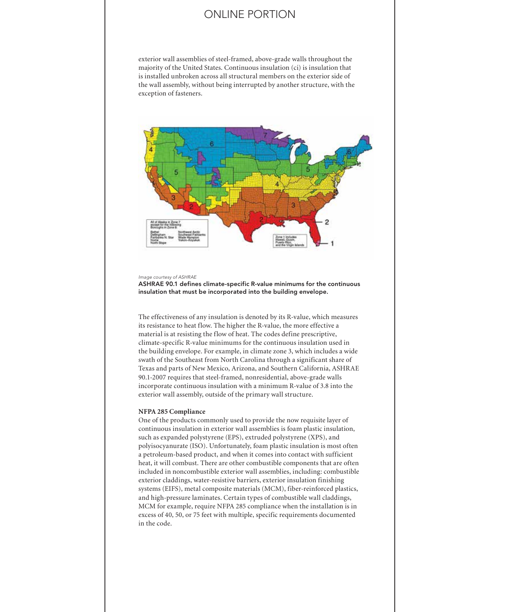exterior wall assemblies of steel-framed, above-grade walls throughout the majority of the United States. Continuous insulation (ci) is insulation that is installed unbroken across all structural members on the exterior side of the wall assembly, without being interrupted by another structure, with the exception of fasteners.



*Image courtesy of ASHRAE*

ASHRAE 90.1 defines climate-specific R-value minimums for the continuous insulation that must be incorporated into the building envelope.

The effectiveness of any insulation is denoted by its R-value, which measures its resistance to heat flow. The higher the R-value, the more effective a material is at resisting the flow of heat. The codes define prescriptive, climate-specific R-value minimums for the continuous insulation used in the building envelope. For example, in climate zone 3, which includes a wide swath of the Southeast from North Carolina through a significant share of Texas and parts of New Mexico, Arizona, and Southern California, ASHRAE 90.1-2007 requires that steel-framed, nonresidential, above-grade walls incorporate continuous insulation with a minimum R-value of 3.8 into the exterior wall assembly, outside of the primary wall structure.

#### **NFPA 285 Compliance**

One of the products commonly used to provide the now requisite layer of continuous insulation in exterior wall assemblies is foam plastic insulation, such as expanded polystyrene (EPS), extruded polystyrene (XPS), and polyisocyanurate (ISO). Unfortunately, foam plastic insulation is most often a petroleum-based product, and when it comes into contact with sufficient heat, it will combust. There are other combustible components that are often included in noncombustible exterior wall assemblies, including: combustible exterior claddings, water-resistive barriers, exterior insulation finishing systems (EIFS), metal composite materials (MCM), fiber-reinforced plastics, and high-pressure laminates. Certain types of combustible wall claddings, MCM for example, require NFPA 285 compliance when the installation is in excess of 40, 50, or 75 feet with multiple, specific requirements documented in the code.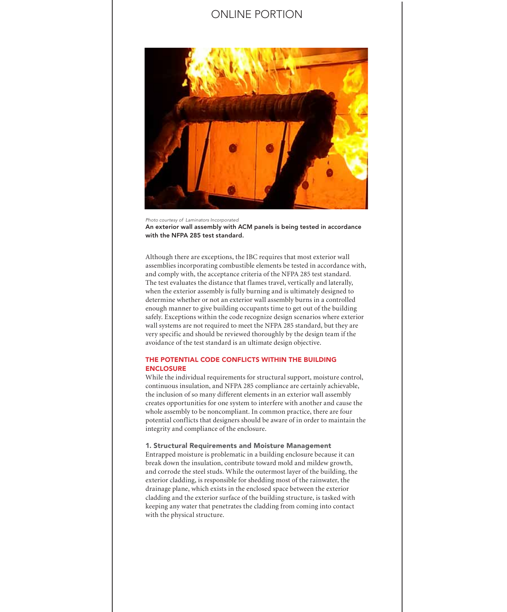

*Photo courtesy of Laminators Incorporated*  An exterior wall assembly with ACM panels is being tested in accordance with the NFPA 285 test standard.

Although there are exceptions, the IBC requires that most exterior wall assemblies incorporating combustible elements be tested in accordance with, and comply with, the acceptance criteria of the NFPA 285 test standard. The test evaluates the distance that flames travel, vertically and laterally, when the exterior assembly is fully burning and is ultimately designed to determine whether or not an exterior wall assembly burns in a controlled enough manner to give building occupants time to get out of the building safely. Exceptions within the code recognize design scenarios where exterior wall systems are not required to meet the NFPA 285 standard, but they are very specific and should be reviewed thoroughly by the design team if the avoidance of the test standard is an ultimate design objective.

### THE POTENTIAL CODE CONFLICTS WITHIN THE BUILDING ENCLOSURE

While the individual requirements for structural support, moisture control, continuous insulation, and NFPA 285 compliance are certainly achievable, the inclusion of so many different elements in an exterior wall assembly creates opportunities for one system to interfere with another and cause the whole assembly to be noncompliant. In common practice, there are four potential conflicts that designers should be aware of in order to maintain the integrity and compliance of the enclosure.

#### 1. Structural Requirements and Moisture Management

Entrapped moisture is problematic in a building enclosure because it can break down the insulation, contribute toward mold and mildew growth, and corrode the steel studs. While the outermost layer of the building, the exterior cladding, is responsible for shedding most of the rainwater, the drainage plane, which exists in the enclosed space between the exterior cladding and the exterior surface of the building structure, is tasked with keeping any water that penetrates the cladding from coming into contact with the physical structure.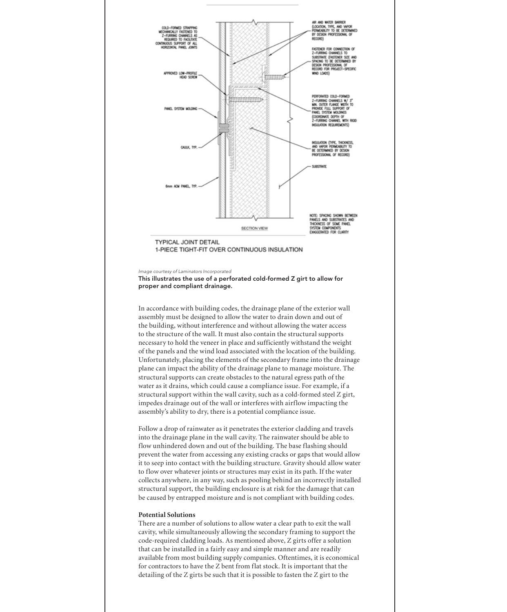

1-PIECE TIGHT-FIT OVER CONTINUOUS INSULATION

*Image courtesy of Laminators Incorporated* 

This illustrates the use of a perforated cold-formed Z girt to allow for proper and compliant drainage.

In accordance with building codes, the drainage plane of the exterior wall assembly must be designed to allow the water to drain down and out of the building, without interference and without allowing the water access to the structure of the wall. It must also contain the structural supports necessary to hold the veneer in place and sufficiently withstand the weight of the panels and the wind load associated with the location of the building. Unfortunately, placing the elements of the secondary frame into the drainage plane can impact the ability of the drainage plane to manage moisture. The structural supports can create obstacles to the natural egress path of the water as it drains, which could cause a compliance issue. For example, if a structural support within the wall cavity, such as a cold-formed steel Z girt, impedes drainage out of the wall or interferes with airflow impacting the assembly's ability to dry, there is a potential compliance issue.

Follow a drop of rainwater as it penetrates the exterior cladding and travels into the drainage plane in the wall cavity. The rainwater should be able to flow unhindered down and out of the building. The base flashing should prevent the water from accessing any existing cracks or gaps that would allow it to seep into contact with the building structure. Gravity should allow water to flow over whatever joints or structures may exist in its path. If the water collects anywhere, in any way, such as pooling behind an incorrectly installed structural support, the building enclosure is at risk for the damage that can be caused by entrapped moisture and is not compliant with building codes.

### **Potential Solutions**

There are a number of solutions to allow water a clear path to exit the wall cavity, while simultaneously allowing the secondary framing to support the code-required cladding loads. As mentioned above, Z girts offer a solution that can be installed in a fairly easy and simple manner and are readily available from most building supply companies. Oftentimes, it is economical for contractors to have the Z bent from flat stock. It is important that the detailing of the Z girts be such that it is possible to fasten the Z girt to the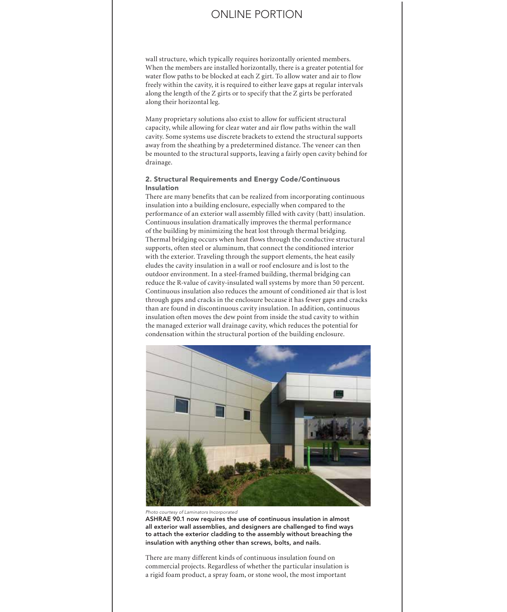wall structure, which typically requires horizontally oriented members. When the members are installed horizontally, there is a greater potential for water flow paths to be blocked at each Z girt. To allow water and air to flow freely within the cavity, it is required to either leave gaps at regular intervals along the length of the Z girts or to specify that the Z girts be perforated along their horizontal leg.

Many proprietary solutions also exist to allow for sufficient structural capacity, while allowing for clear water and air flow paths within the wall cavity. Some systems use discrete brackets to extend the structural supports away from the sheathing by a predetermined distance. The veneer can then be mounted to the structural supports, leaving a fairly open cavity behind for drainage.

### 2. Structural Requirements and Energy Code/Continuous Insulation

There are many benefits that can be realized from incorporating continuous insulation into a building enclosure, especially when compared to the performance of an exterior wall assembly filled with cavity (batt) insulation. Continuous insulation dramatically improves the thermal performance of the building by minimizing the heat lost through thermal bridging. Thermal bridging occurs when heat flows through the conductive structural supports, often steel or aluminum, that connect the conditioned interior with the exterior. Traveling through the support elements, the heat easily eludes the cavity insulation in a wall or roof enclosure and is lost to the outdoor environment. In a steel-framed building, thermal bridging can reduce the R-value of cavity-insulated wall systems by more than 50 percent. Continuous insulation also reduces the amount of conditioned air that is lost through gaps and cracks in the enclosure because it has fewer gaps and cracks than are found in discontinuous cavity insulation. In addition, continuous insulation often moves the dew point from inside the stud cavity to within the managed exterior wall drainage cavity, which reduces the potential for condensation within the structural portion of the building enclosure.



*Photo courtesy of Laminators Incorporated* 

ASHRAE 90.1 now requires the use of continuous insulation in almost all exterior wall assemblies, and designers are challenged to find ways to attach the exterior cladding to the assembly without breaching the insulation with anything other than screws, bolts, and nails.

There are many different kinds of continuous insulation found on commercial projects. Regardless of whether the particular insulation is a rigid foam product, a spray foam, or stone wool, the most important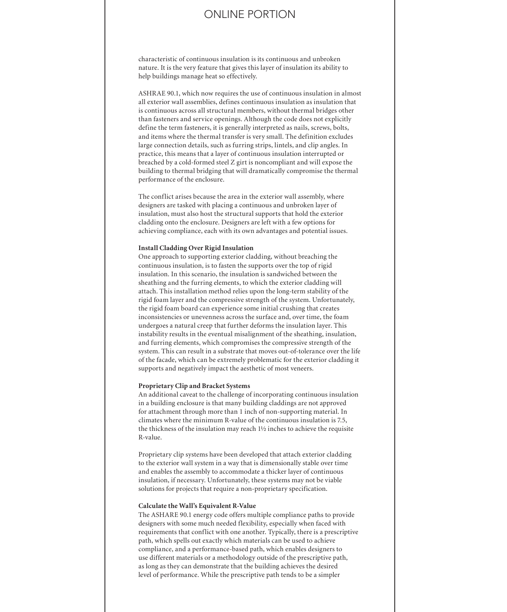characteristic of continuous insulation is its continuous and unbroken nature. It is the very feature that gives this layer of insulation its ability to help buildings manage heat so effectively.

ASHRAE 90.1, which now requires the use of continuous insulation in almost all exterior wall assemblies, defines continuous insulation as insulation that is continuous across all structural members, without thermal bridges other than fasteners and service openings. Although the code does not explicitly define the term fasteners, it is generally interpreted as nails, screws, bolts, and items where the thermal transfer is very small. The definition excludes large connection details, such as furring strips, lintels, and clip angles. In practice, this means that a layer of continuous insulation interrupted or breached by a cold-formed steel Z girt is noncompliant and will expose the building to thermal bridging that will dramatically compromise the thermal performance of the enclosure.

The conflict arises because the area in the exterior wall assembly, where designers are tasked with placing a continuous and unbroken layer of insulation, must also host the structural supports that hold the exterior cladding onto the enclosure. Designers are left with a few options for achieving compliance, each with its own advantages and potential issues.

#### **Install Cladding Over Rigid Insulation**

One approach to supporting exterior cladding, without breaching the continuous insulation, is to fasten the supports over the top of rigid insulation. In this scenario, the insulation is sandwiched between the sheathing and the furring elements, to which the exterior cladding will attach. This installation method relies upon the long-term stability of the rigid foam layer and the compressive strength of the system. Unfortunately, the rigid foam board can experience some initial crushing that creates inconsistencies or unevenness across the surface and, over time, the foam undergoes a natural creep that further deforms the insulation layer. This instability results in the eventual misalignment of the sheathing, insulation, and furring elements, which compromises the compressive strength of the system. This can result in a substrate that moves out-of-tolerance over the life of the facade, which can be extremely problematic for the exterior cladding it supports and negatively impact the aesthetic of most veneers.

#### **Proprietary Clip and Bracket Systems**

An additional caveat to the challenge of incorporating continuous insulation in a building enclosure is that many building claddings are not approved for attachment through more than 1 inch of non-supporting material. In climates where the minimum R-value of the continuous insulation is 7.5, the thickness of the insulation may reach 1½ inches to achieve the requisite R-value.

Proprietary clip systems have been developed that attach exterior cladding to the exterior wall system in a way that is dimensionally stable over time and enables the assembly to accommodate a thicker layer of continuous insulation, if necessary. Unfortunately, these systems may not be viable solutions for projects that require a non-proprietary specification.

#### **Calculate the Wall's Equivalent R-Value**

The ASHARE 90.1 energy code offers multiple compliance paths to provide designers with some much needed flexibility, especially when faced with requirements that conflict with one another. Typically, there is a prescriptive path, which spells out exactly which materials can be used to achieve compliance, and a performance-based path, which enables designers to use different materials or a methodology outside of the prescriptive path, as long as they can demonstrate that the building achieves the desired level of performance. While the prescriptive path tends to be a simpler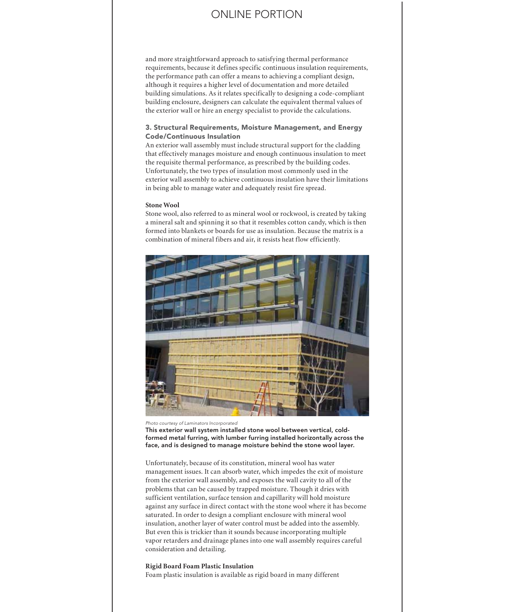and more straightforward approach to satisfying thermal performance requirements, because it defines specific continuous insulation requirements, the performance path can offer a means to achieving a compliant design, although it requires a higher level of documentation and more detailed building simulations. As it relates specifically to designing a code-compliant building enclosure, designers can calculate the equivalent thermal values of the exterior wall or hire an energy specialist to provide the calculations.

### 3. Structural Requirements, Moisture Management, and Energy Code/Continuous Insulation

An exterior wall assembly must include structural support for the cladding that effectively manages moisture and enough continuous insulation to meet the requisite thermal performance, as prescribed by the building codes. Unfortunately, the two types of insulation most commonly used in the exterior wall assembly to achieve continuous insulation have their limitations in being able to manage water and adequately resist fire spread.

#### **Stone Wool**

Stone wool, also referred to as mineral wool or rockwool, is created by taking a mineral salt and spinning it so that it resembles cotton candy, which is then formed into blankets or boards for use as insulation. Because the matrix is a combination of mineral fibers and air, it resists heat flow efficiently.



*Photo courtesy of Laminators Incorporated* 

This exterior wall system installed stone wool between vertical, coldformed metal furring, with lumber furring installed horizontally across the face, and is designed to manage moisture behind the stone wool layer.

Unfortunately, because of its constitution, mineral wool has water management issues. It can absorb water, which impedes the exit of moisture from the exterior wall assembly, and exposes the wall cavity to all of the problems that can be caused by trapped moisture. Though it dries with sufficient ventilation, surface tension and capillarity will hold moisture against any surface in direct contact with the stone wool where it has become saturated. In order to design a compliant enclosure with mineral wool insulation, another layer of water control must be added into the assembly. But even this is trickier than it sounds because incorporating multiple vapor retarders and drainage planes into one wall assembly requires careful consideration and detailing.

#### **Rigid Board Foam Plastic Insulation**

Foam plastic insulation is available as rigid board in many different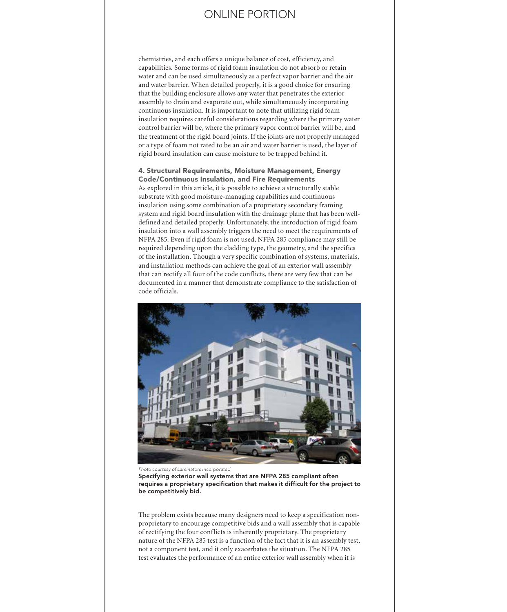chemistries, and each offers a unique balance of cost, efficiency, and capabilities. Some forms of rigid foam insulation do not absorb or retain water and can be used simultaneously as a perfect vapor barrier and the air and water barrier. When detailed properly, it is a good choice for ensuring that the building enclosure allows any water that penetrates the exterior assembly to drain and evaporate out, while simultaneously incorporating continuous insulation. It is important to note that utilizing rigid foam insulation requires careful considerations regarding where the primary water control barrier will be, where the primary vapor control barrier will be, and the treatment of the rigid board joints. If the joints are not properly managed or a type of foam not rated to be an air and water barrier is used, the layer of rigid board insulation can cause moisture to be trapped behind it.

### 4. Structural Requirements, Moisture Management, Energy Code/Continuous Insulation, and Fire Requirements

As explored in this article, it is possible to achieve a structurally stable substrate with good moisture-managing capabilities and continuous insulation using some combination of a proprietary secondary framing system and rigid board insulation with the drainage plane that has been welldefined and detailed properly. Unfortunately, the introduction of rigid foam insulation into a wall assembly triggers the need to meet the requirements of NFPA 285. Even if rigid foam is not used, NFPA 285 compliance may still be required depending upon the cladding type, the geometry, and the specifics of the installation. Though a very specific combination of systems, materials, and installation methods can achieve the goal of an exterior wall assembly that can rectify all four of the code conflicts, there are very few that can be documented in a manner that demonstrate compliance to the satisfaction of code officials.



*Photo courtesy of Laminators Incorporated* 

Specifying exterior wall systems that are NFPA 285 compliant often requires a proprietary specification that makes it difficult for the project to be competitively bid.

The problem exists because many designers need to keep a specification nonproprietary to encourage competitive bids and a wall assembly that is capable of rectifying the four conflicts is inherently proprietary. The proprietary nature of the NFPA 285 test is a function of the fact that it is an assembly test, not a component test, and it only exacerbates the situation. The NFPA 285 test evaluates the performance of an entire exterior wall assembly when it is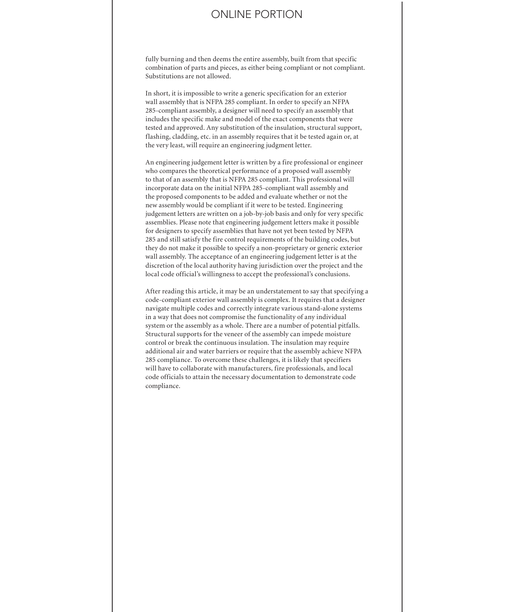fully burning and then deems the entire assembly, built from that specific combination of parts and pieces, as either being compliant or not compliant. Substitutions are not allowed.

In short, it is impossible to write a generic specification for an exterior wall assembly that is NFPA 285 compliant. In order to specify an NFPA 285-compliant assembly, a designer will need to specify an assembly that includes the specific make and model of the exact components that were tested and approved. Any substitution of the insulation, structural support, flashing, cladding, etc. in an assembly requires that it be tested again or, at the very least, will require an engineering judgment letter.

An engineering judgement letter is written by a fire professional or engineer who compares the theoretical performance of a proposed wall assembly to that of an assembly that is NFPA 285 compliant. This professional will incorporate data on the initial NFPA 285-compliant wall assembly and the proposed components to be added and evaluate whether or not the new assembly would be compliant if it were to be tested. Engineering judgement letters are written on a job-by-job basis and only for very specific assemblies. Please note that engineering judgement letters make it possible for designers to specify assemblies that have not yet been tested by NFPA 285 and still satisfy the fire control requirements of the building codes, but they do not make it possible to specify a non-proprietary or generic exterior wall assembly. The acceptance of an engineering judgement letter is at the discretion of the local authority having jurisdiction over the project and the local code official's willingness to accept the professional's conclusions.

After reading this article, it may be an understatement to say that specifying a code-compliant exterior wall assembly is complex. It requires that a designer navigate multiple codes and correctly integrate various stand-alone systems in a way that does not compromise the functionality of any individual system or the assembly as a whole. There are a number of potential pitfalls. Structural supports for the veneer of the assembly can impede moisture control or break the continuous insulation. The insulation may require additional air and water barriers or require that the assembly achieve NFPA 285 compliance. To overcome these challenges, it is likely that specifiers will have to collaborate with manufacturers, fire professionals, and local code officials to attain the necessary documentation to demonstrate code compliance.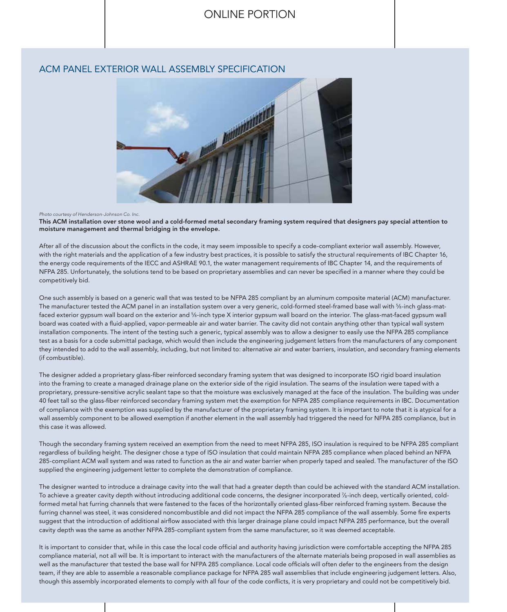### ACM PANEL EXTERIOR WALL ASSEMBLY SPECIFICATION



#### *Photo courtesy of Henderson-Johnson Co. Inc.*

This ACM installation over stone wool and a cold-formed metal secondary framing system required that designers pay special attention to moisture management and thermal bridging in the envelope.

After all of the discussion about the conflicts in the code, it may seem impossible to specify a code-compliant exterior wall assembly. However, with the right materials and the application of a few industry best practices, it is possible to satisfy the structural requirements of IBC Chapter 16, the energy code requirements of the IECC and ASHRAE 90.1, the water management requirements of IBC Chapter 14, and the requirements of NFPA 285. Unfortunately, the solutions tend to be based on proprietary assemblies and can never be specified in a manner where they could be competitively bid.

One such assembly is based on a generic wall that was tested to be NFPA 285 compliant by an aluminum composite material (ACM) manufacturer. The manufacturer tested the ACM panel in an installation system over a very generic, cold-formed steel-framed base wall with <sup>5</sup>/8-inch glass-matfaced exterior gypsum wall board on the exterior and <sup>5</sup>/8-inch type X interior gypsum wall board on the interior. The glass-mat-faced gypsum wall board was coated with a fluid-applied, vapor-permeable air and water barrier. The cavity did not contain anything other than typical wall system installation components. The intent of the testing such a generic, typical assembly was to allow a designer to easily use the NFPA 285 compliance test as a basis for a code submittal package, which would then include the engineering judgement letters from the manufacturers of any component they intended to add to the wall assembly, including, but not limited to: alternative air and water barriers, insulation, and secondary framing elements (if combustible).

The designer added a proprietary glass-fiber reinforced secondary framing system that was designed to incorporate ISO rigid board insulation into the framing to create a managed drainage plane on the exterior side of the rigid insulation. The seams of the insulation were taped with a proprietary, pressure-sensitive acrylic sealant tape so that the moisture was exclusively managed at the face of the insulation. The building was under 40 feet tall so the glass-fiber reinforced secondary framing system met the exemption for NFPA 285 compliance requirements in IBC. Documentation of compliance with the exemption was supplied by the manufacturer of the proprietary framing system. It is important to note that it is atypical for a wall assembly component to be allowed exemption if another element in the wall assembly had triggered the need for NFPA 285 compliance, but in this case it was allowed.

Though the secondary framing system received an exemption from the need to meet NFPA 285, ISO insulation is required to be NFPA 285 compliant regardless of building height. The designer chose a type of ISO insulation that could maintain NFPA 285 compliance when placed behind an NFPA 285-compliant ACM wall system and was rated to function as the air and water barrier when properly taped and sealed. The manufacturer of the ISO supplied the engineering judgement letter to complete the demonstration of compliance.

The designer wanted to introduce a drainage cavity into the wall that had a greater depth than could be achieved with the standard ACM installation. To achieve a greater cavity depth without introducing additional code concerns, the designer incorporated 7 ⁄8-inch deep, vertically oriented, coldformed metal hat furring channels that were fastened to the faces of the horizontally oriented glass-fiber reinforced framing system. Because the furring channel was steel, it was considered noncombustible and did not impact the NFPA 285 compliance of the wall assembly. Some fire experts suggest that the introduction of additional airflow associated with this larger drainage plane could impact NFPA 285 performance, but the overall cavity depth was the same as another NFPA 285-compliant system from the same manufacturer, so it was deemed acceptable.

It is important to consider that, while in this case the local code official and authority having jurisdiction were comfortable accepting the NFPA 285 compliance material, not all will be. It is important to interact with the manufacturers of the alternate materials being proposed in wall assemblies as well as the manufacturer that tested the base wall for NFPA 285 compliance. Local code officials will often defer to the engineers from the design team, if they are able to assemble a reasonable compliance package for NFPA 285 wall assemblies that include engineering judgement letters. Also, though this assembly incorporated elements to comply with all four of the code conflicts, it is very proprietary and could not be competitively bid.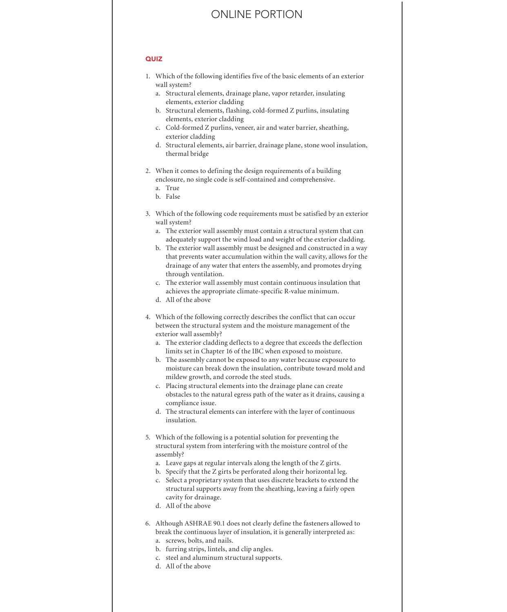#### **QUIZ**

- 1. Which of the following identifies five of the basic elements of an exterior wall system?
	- a. Structural elements, drainage plane, vapor retarder, insulating elements, exterior cladding
	- b. Structural elements, flashing, cold-formed Z purlins, insulating elements, exterior cladding
	- c. Cold-formed Z purlins, veneer, air and water barrier, sheathing, exterior cladding
	- d. Structural elements, air barrier, drainage plane, stone wool insulation, thermal bridge
- 2. When it comes to defining the design requirements of a building enclosure, no single code is self-contained and comprehensive.
	- a. True
	- b. False
- 3. Which of the following code requirements must be satisfied by an exterior wall system?
	- a. The exterior wall assembly must contain a structural system that can adequately support the wind load and weight of the exterior cladding.
	- b. The exterior wall assembly must be designed and constructed in a way that prevents water accumulation within the wall cavity, allows for the drainage of any water that enters the assembly, and promotes drying through ventilation.
	- c. The exterior wall assembly must contain continuous insulation that achieves the appropriate climate-specific R-value minimum.
	- d. All of the above
- 4. Which of the following correctly describes the conflict that can occur between the structural system and the moisture management of the exterior wall assembly?
	- a. The exterior cladding deflects to a degree that exceeds the deflection limits set in Chapter 16 of the IBC when exposed to moisture.
	- b. The assembly cannot be exposed to any water because exposure to moisture can break down the insulation, contribute toward mold and mildew growth, and corrode the steel studs.
	- c. Placing structural elements into the drainage plane can create obstacles to the natural egress path of the water as it drains, causing a compliance issue.
	- d. The structural elements can interfere with the layer of continuous insulation.
- 5. Which of the following is a potential solution for preventing the structural system from interfering with the moisture control of the assembly?
	- a. Leave gaps at regular intervals along the length of the Z girts.
	- b. Specify that the Z girts be perforated along their horizontal leg.
	- c. Select a proprietary system that uses discrete brackets to extend the structural supports away from the sheathing, leaving a fairly open cavity for drainage.
	- d. All of the above
- 6. Although ASHRAE 90.1 does not clearly define the fasteners allowed to break the continuous layer of insulation, it is generally interpreted as:
	- a. screws, bolts, and nails.
	- b. furring strips, lintels, and clip angles.
	- c. steel and aluminum structural supports.
	- d. All of the above